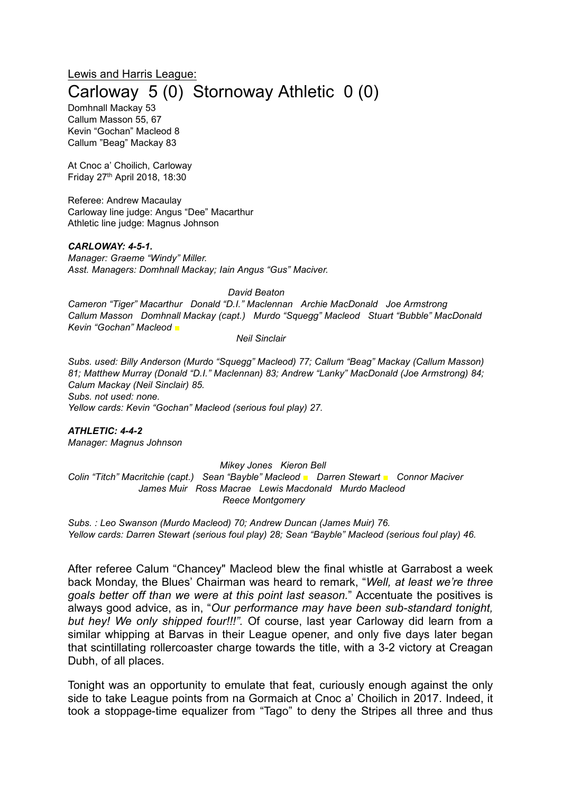# Lewis and Harris League: Carloway 5 (0) Stornoway Athletic 0 (0)

Domhnall Mackay 53 Callum Masson 55, 67 Kevin "Gochan" Macleod 8 Callum "Beag" Mackay 83

At Cnoc a' Choilich, Carloway Friday 27th April 2018, 18:30

Referee: Andrew Macaulay Carloway line judge: Angus "Dee" Macarthur Athletic line judge: Magnus Johnson

#### *CARLOWAY: 4-5-1.*

*Manager: Graeme "Windy" Miller. Asst. Managers: Domhnall Mackay; Iain Angus "Gus" Maciver.*

*David Beaton*

*Cameron "Tiger" Macarthur Donald "D.I." Maclennan Archie MacDonald Joe Armstrong Callum Masson Domhnall Mackay (capt.) Murdo "Squegg" Macleod Stuart "Bubble" MacDonald Kevin "Gochan" Macleod ■*

*Neil Sinclair*

*Subs. used: Billy Anderson (Murdo "Squegg" Macleod) 77; Callum "Beag" Mackay (Callum Masson) 81; Matthew Murray (Donald "D.I." Maclennan) 83; Andrew "Lanky" MacDonald (Joe Armstrong) 84; Calum Mackay (Neil Sinclair) 85. Subs. not used: none. Yellow cards: Kevin "Gochan" Macleod (serious foul play) 27.*

*ATHLETIC: 4-4-2 Manager: Magnus Johnson*

*Mikey Jones Kieron Bell Colin "Titch" Macritchie (capt.) Sean "Bayble" Macleod ■ Darren Stewart ■ Connor Maciver James Muir Ross Macrae Lewis Macdonald Murdo Macleod Reece Montgomery*

*Subs. : Leo Swanson (Murdo Macleod) 70; Andrew Duncan (James Muir) 76. Yellow cards: Darren Stewart (serious foul play) 28; Sean "Bayble" Macleod (serious foul play) 46.*

After referee Calum "Chancey" Macleod blew the final whistle at Garrabost a week back Monday, the Blues' Chairman was heard to remark, "*Well, at least we're three goals better off than we were at this point last season.*" Accentuate the positives is always good advice, as in, "*Our performance may have been sub-standard tonight, but hey! We only shipped four!!!".* Of course, last year Carloway did learn from a similar whipping at Barvas in their League opener, and only five days later began that scintillating rollercoaster charge towards the title, with a 3-2 victory at Creagan Dubh, of all places.

Tonight was an opportunity to emulate that feat, curiously enough against the only side to take League points from na Gormaich at Cnoc a' Choilich in 2017. Indeed, it took a stoppage-time equalizer from "Tago" to deny the Stripes all three and thus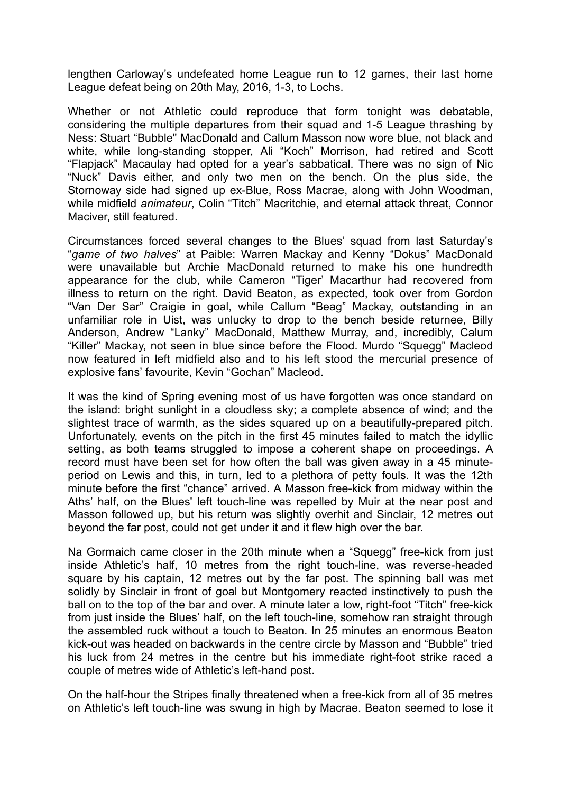lengthen Carloway's undefeated home League run to 12 games, their last home League defeat being on 20th May, 2016, 1-3, to Lochs.

Whether or not Athletic could reproduce that form tonight was debatable, considering the multiple departures from their squad and 1-5 League thrashing by Ness: Stuart "Bubble" MacDonald and Callum Masson now wore blue, not black and white, while long-standing stopper, Ali "Koch" Morrison, had retired and Scott "Flapjack" Macaulay had opted for a year's sabbatical. There was no sign of Nic "Nuck" Davis either, and only two men on the bench. On the plus side, the Stornoway side had signed up ex-Blue, Ross Macrae, along with John Woodman, while midfield *animateur*, Colin "Titch" Macritchie, and eternal attack threat, Connor Maciver, still featured.

Circumstances forced several changes to the Blues' squad from last Saturday's "*game of two halves*" at Paible: Warren Mackay and Kenny "Dokus" MacDonald were unavailable but Archie MacDonald returned to make his one hundredth appearance for the club, while Cameron "Tiger' Macarthur had recovered from illness to return on the right. David Beaton, as expected, took over from Gordon "Van Der Sar" Craigie in goal, while Callum "Beag" Mackay, outstanding in an unfamiliar role in Uist, was unlucky to drop to the bench beside returnee, Billy Anderson, Andrew "Lanky" MacDonald, Matthew Murray, and, incredibly, Calum "Killer" Mackay, not seen in blue since before the Flood. Murdo "Squegg" Macleod now featured in left midfield also and to his left stood the mercurial presence of explosive fans' favourite, Kevin "Gochan" Macleod.

It was the kind of Spring evening most of us have forgotten was once standard on the island: bright sunlight in a cloudless sky; a complete absence of wind; and the slightest trace of warmth, as the sides squared up on a beautifully-prepared pitch. Unfortunately, events on the pitch in the first 45 minutes failed to match the idyllic setting, as both teams struggled to impose a coherent shape on proceedings. A record must have been set for how often the ball was given away in a 45 minuteperiod on Lewis and this, in turn, led to a plethora of petty fouls. It was the 12th minute before the first "chance" arrived. A Masson free-kick from midway within the Aths' half, on the Blues' left touch-line was repelled by Muir at the near post and Masson followed up, but his return was slightly overhit and Sinclair, 12 metres out beyond the far post, could not get under it and it flew high over the bar.

Na Gormaich came closer in the 20th minute when a "Squegg" free-kick from just inside Athletic's half, 10 metres from the right touch-line, was reverse-headed square by his captain, 12 metres out by the far post. The spinning ball was met solidly by Sinclair in front of goal but Montgomery reacted instinctively to push the ball on to the top of the bar and over. A minute later a low, right-foot "Titch" free-kick from just inside the Blues' half, on the left touch-line, somehow ran straight through the assembled ruck without a touch to Beaton. In 25 minutes an enormous Beaton kick-out was headed on backwards in the centre circle by Masson and "Bubble" tried his luck from 24 metres in the centre but his immediate right-foot strike raced a couple of metres wide of Athletic's left-hand post.

On the half-hour the Stripes finally threatened when a free-kick from all of 35 metres on Athletic's left touch-line was swung in high by Macrae. Beaton seemed to lose it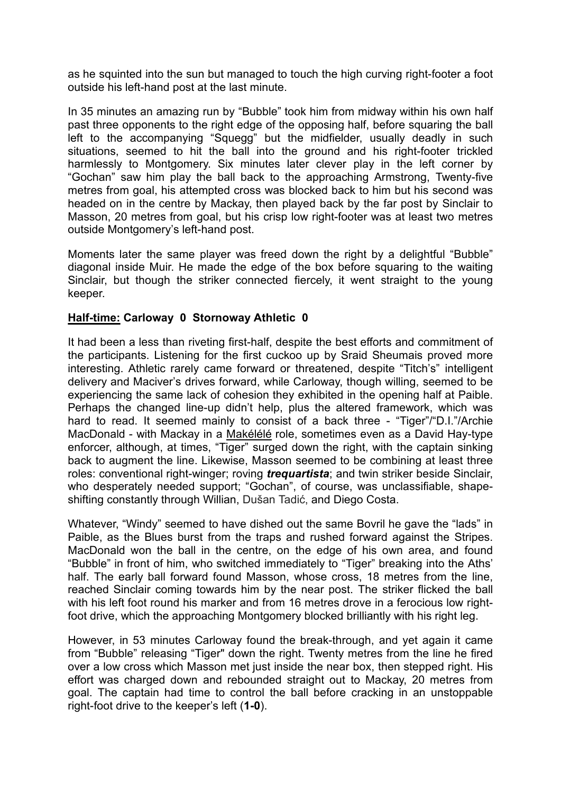as he squinted into the sun but managed to touch the high curving right-footer a foot outside his left-hand post at the last minute.

In 35 minutes an amazing run by "Bubble" took him from midway within his own half past three opponents to the right edge of the opposing half, before squaring the ball left to the accompanying "Squegg" but the midfielder, usually deadly in such situations, seemed to hit the ball into the ground and his right-footer trickled harmlessly to Montgomery. Six minutes later clever play in the left corner by "Gochan" saw him play the ball back to the approaching Armstrong, Twenty-five metres from goal, his attempted cross was blocked back to him but his second was headed on in the centre by Mackay, then played back by the far post by Sinclair to Masson, 20 metres from goal, but his crisp low right-footer was at least two metres outside Montgomery's left-hand post.

Moments later the same player was freed down the right by a delightful "Bubble" diagonal inside Muir. He made the edge of the box before squaring to the waiting Sinclair, but though the striker connected fiercely, it went straight to the young keeper.

### **Half-time: Carloway 0 Stornoway Athletic 0**

It had been a less than riveting first-half, despite the best efforts and commitment of the participants. Listening for the first cuckoo up by Sraid Sheumais proved more interesting. Athletic rarely came forward or threatened, despite "Titch's" intelligent delivery and Maciver's drives forward, while Carloway, though willing, seemed to be experiencing the same lack of cohesion they exhibited in the opening half at Paible. Perhaps the changed line-up didn't help, plus the altered framework, which was hard to read. It seemed mainly to consist of a back three - "Tiger"/"D.I."/Archie MacDonald - with Mackay in a [Makélélé](https://nam01.safelinks.protection.outlook.com/?url=http%3A%2F%2Fr.search.yahoo.com%2F_ylt%3DAwrIRhWV9OVaDQIAfz13Bwx.%3B_ylu%3DX3oDMTByMnE1MzMwBGNvbG8DaXIyBHBvcwMzBHZ0aWQDBHNlYwNzcg--%2FRV%3D2%2FRE%3D1525048598%2FRO%3D10%2FRU%3Dhttps%253a%252f%252ftwitter.com%252fClaudeMakelele%2FRK%3D2%2FRS%3DJGhshlg5uqSQoho1.zeVbkIMlZg-&data=02%7C01%7C%7Ce8b477d81d2c493a448f08d5af518b5a%7C84df9e7fe9f640afb435aaaaaaaaaaaa%7C1%7C0%7C636607687121154039&sdata=T1UPErapn9PJhHrJyRt7cDMECNyDHzTWlk72ErjNbtg%3D&reserved=0) role, sometimes even as a David Hay-type enforcer, although, at times, "Tiger" surged down the right, with the captain sinking back to augment the line. Likewise, Masson seemed to be combining at least three roles: conventional right-winger; roving *trequartista*; and twin striker beside Sinclair, who desperately needed support; "Gochan", of course, was unclassifiable, shapeshifting constantly through Willian, Dušan Tadić, and Diego Costa.

Whatever, "Windy" seemed to have dished out the same Bovril he gave the "lads" in Paible, as the Blues burst from the traps and rushed forward against the Stripes. MacDonald won the ball in the centre, on the edge of his own area, and found "Bubble" in front of him, who switched immediately to "Tiger" breaking into the Aths' half. The early ball forward found Masson, whose cross, 18 metres from the line, reached Sinclair coming towards him by the near post. The striker flicked the ball with his left foot round his marker and from 16 metres drove in a ferocious low rightfoot drive, which the approaching Montgomery blocked brilliantly with his right leg.

However, in 53 minutes Carloway found the break-through, and yet again it came from "Bubble" releasing "Tiger" down the right. Twenty metres from the line he fired over a low cross which Masson met just inside the near box, then stepped right. His effort was charged down and rebounded straight out to Mackay, 20 metres from goal. The captain had time to control the ball before cracking in an unstoppable right-foot drive to the keeper's left (**1-0**).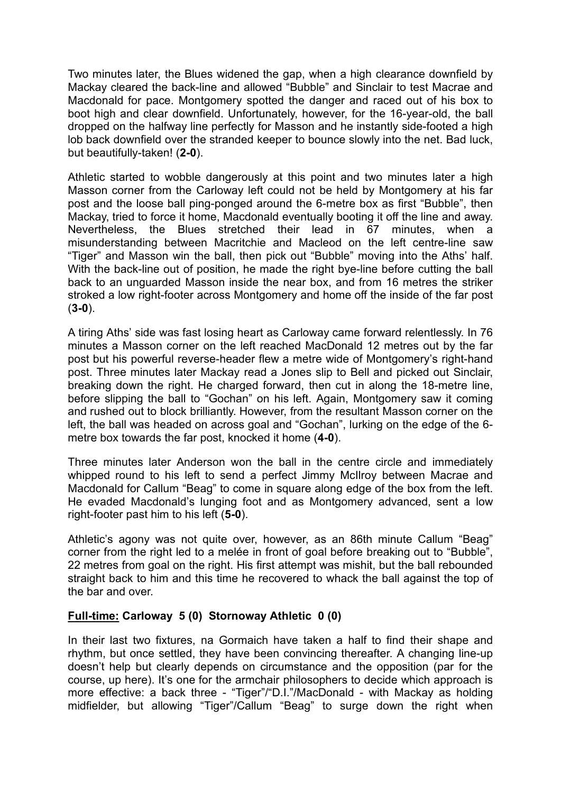Two minutes later, the Blues widened the gap, when a high clearance downfield by Mackay cleared the back-line and allowed "Bubble" and Sinclair to test Macrae and Macdonald for pace. Montgomery spotted the danger and raced out of his box to boot high and clear downfield. Unfortunately, however, for the 16-year-old, the ball dropped on the halfway line perfectly for Masson and he instantly side-footed a high lob back downfield over the stranded keeper to bounce slowly into the net. Bad luck, but beautifully-taken! (**2-0**).

Athletic started to wobble dangerously at this point and two minutes later a high Masson corner from the Carloway left could not be held by Montgomery at his far post and the loose ball ping-ponged around the 6-metre box as first "Bubble", then Mackay, tried to force it home, Macdonald eventually booting it off the line and away. Nevertheless, the Blues stretched their lead in 67 minutes, when a misunderstanding between Macritchie and Macleod on the left centre-line saw "Tiger" and Masson win the ball, then pick out "Bubble" moving into the Aths' half. With the back-line out of position, he made the right bye-line before cutting the ball back to an unguarded Masson inside the near box, and from 16 metres the striker stroked a low right-footer across Montgomery and home off the inside of the far post (**3-0**).

A tiring Aths' side was fast losing heart as Carloway came forward relentlessly. In 76 minutes a Masson corner on the left reached MacDonald 12 metres out by the far post but his powerful reverse-header flew a metre wide of Montgomery's right-hand post. Three minutes later Mackay read a Jones slip to Bell and picked out Sinclair, breaking down the right. He charged forward, then cut in along the 18-metre line, before slipping the ball to "Gochan" on his left. Again, Montgomery saw it coming and rushed out to block brilliantly. However, from the resultant Masson corner on the left, the ball was headed on across goal and "Gochan", lurking on the edge of the 6 metre box towards the far post, knocked it home (**4-0**).

Three minutes later Anderson won the ball in the centre circle and immediately whipped round to his left to send a perfect Jimmy McIlroy between Macrae and Macdonald for Callum "Beag" to come in square along edge of the box from the left. He evaded Macdonald's lunging foot and as Montgomery advanced, sent a low right-footer past him to his left (**5-0**).

Athletic's agony was not quite over, however, as an 86th minute Callum "Beag" corner from the right led to a melée in front of goal before breaking out to "Bubble", 22 metres from goal on the right. His first attempt was mishit, but the ball rebounded straight back to him and this time he recovered to whack the ball against the top of the bar and over.

## **Full-time: Carloway 5 (0) Stornoway Athletic 0 (0)**

In their last two fixtures, na Gormaich have taken a half to find their shape and rhythm, but once settled, they have been convincing thereafter. A changing line-up doesn't help but clearly depends on circumstance and the opposition (par for the course, up here). It's one for the armchair philosophers to decide which approach is more effective: a back three - "Tiger"/"D.I."/MacDonald - with Mackay as holding midfielder, but allowing "Tiger"/Callum "Beag" to surge down the right when